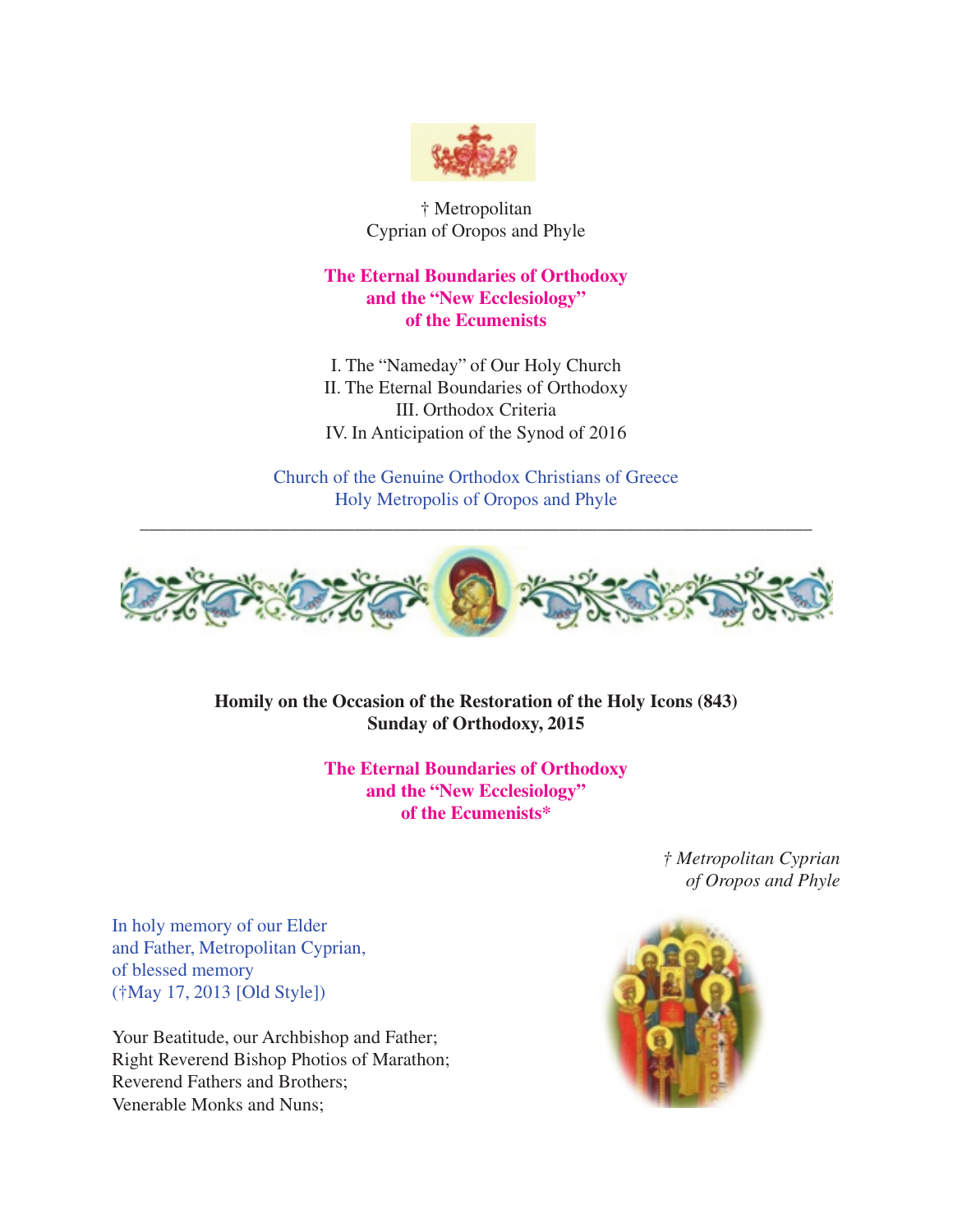

† Metropolitan Cyprian of Oropos and Phyle

# **The Eternal Boundaries of Orthodoxy and the "New Ecclesiology" of the Ecumenists**

I. The "Nameday" of Our Holy Church II. The Eternal Boundaries of Orthodoxy III. Orthodox Criteria IV. In Anticipation of the Synod of 2016

Church of the Genuine Orthodox Christians of Greece Holy Metropolis of Oropos and Phyle

\_\_\_\_\_\_\_\_\_\_\_\_\_\_\_\_\_\_\_\_\_\_\_\_\_\_\_\_\_\_\_\_\_\_\_\_\_\_\_\_\_\_\_\_\_\_\_\_\_\_\_\_\_\_\_\_\_\_\_\_\_\_\_\_\_\_\_\_\_\_\_\_



**Homily on the Occasion of the Restoration of the Holy Icons (843) Sunday of Orthodoxy, 2015**

> **The Eternal Boundaries of Orthodoxy and the "New Ecclesiology" of the Ecumenists\***

> > *† Metropolitan Cyprian of Oropos and Phyle*

In holy memory of our Elder and Father, Metropolitan Cyprian, of blessed memory (†May 17, 2013 [Old Style])

Your Beatitude, our Archbishop and Father; Right Reverend Bishop Photios of Marathon; Reverend Fathers and Brothers; Venerable Monks and Nuns;

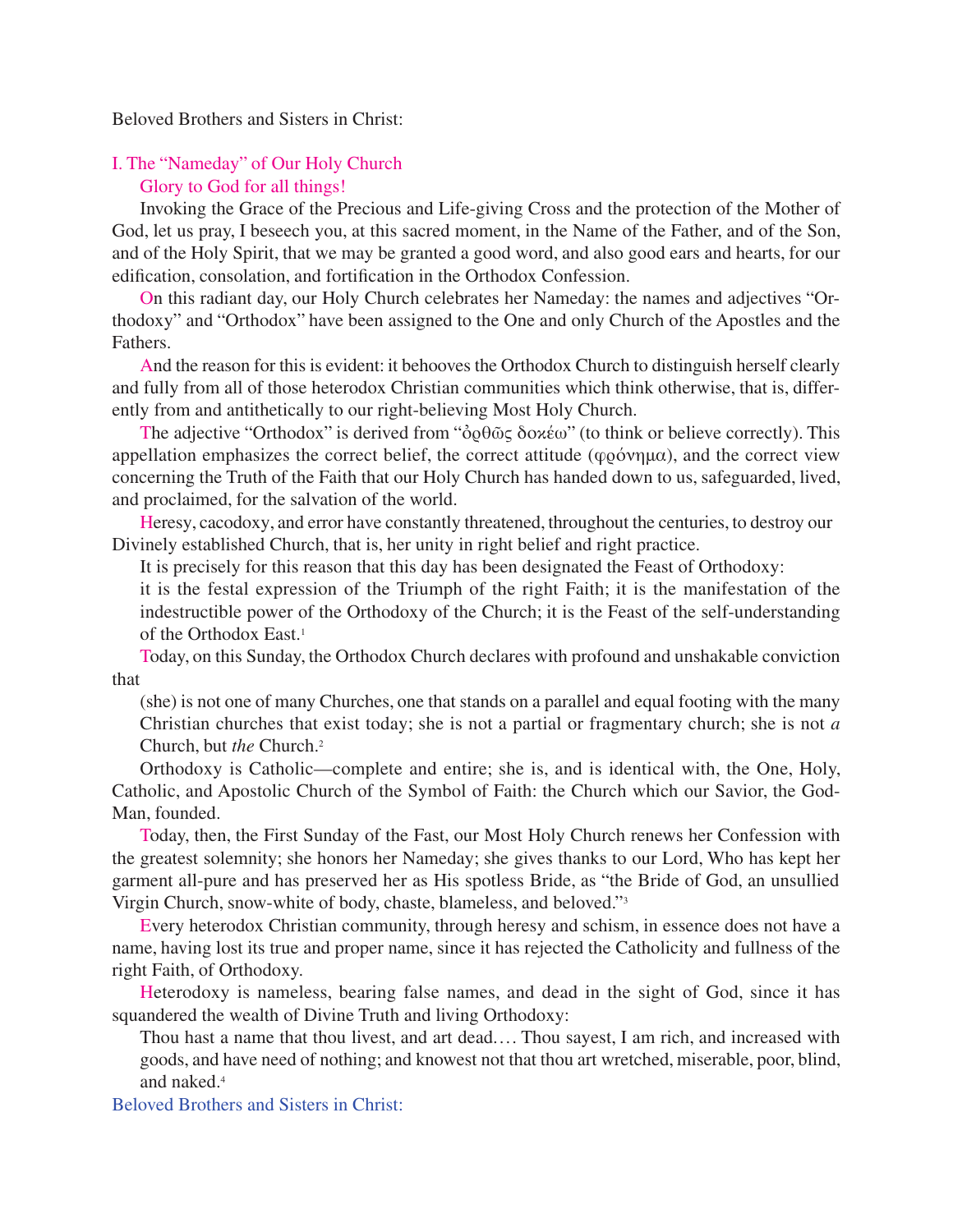### Beloved Brothers and Sisters in Christ:

## I. The "Nameday" of Our Holy Church Glory to God for all things!

Invoking the Grace of the Precious and Life-giving Cross and the protection of the Mother of God, let us pray, I beseech you, at this sacred moment, in the Name of the Father, and of the Son, and of the Holy Spirit, that we may be granted a good word, and also good ears and hearts, for our edification, consolation, and fortification in the Orthodox Confession.

On this radiant day, our Holy Church celebrates her Nameday: the names and adjectives "Orthodoxy" and "Orthodox" have been assigned to the One and only Church of the Apostles and the Fathers.

And the reason for this is evident: it behooves the Orthodox Church to distinguish herself clearly and fully from all of those heterodox Christian communities which think otherwise, that is, differently from and antithetically to our right-believing Most Holy Church.

The adjective "Orthodox" is derived from "ὀρθῶς δοκέω" (to think or believe correctly). This appellation emphasizes the correct belief, the correct attitude ( $\varphi$ ρόνημα), and the correct view concerning the Truth of the Faith that our Holy Church has handed down to us, safeguarded, lived, and proclaimed, for the salvation of the world.

Heresy, cacodoxy, and error have constantly threatened, throughout the centuries, to destroy our Divinely established Church, that is, her unity in right belief and right practice.

It is precisely for this reason that this day has been designated the Feast of Orthodoxy:

it is the festal expression of the Triumph of the right Faith; it is the manifestation of the indestructible power of the Orthodoxy of the Church; it is the Feast of the self-understanding of the Orthodox East.<sup>1</sup>

Today, on this Sunday, the Orthodox Church declares with profound and unshakable conviction that

(she) is not one of many Churches, one that stands on a parallel and equal footing with the many Christian churches that exist today; she is not a partial or fragmentary church; she is not *a* Church, but *the* Church.2

Orthodoxy is Catholic—complete and entire; she is, and is identical with, the One, Holy, Catholic, and Apostolic Church of the Symbol of Faith: the Church which our Savior, the God-Man, founded.

Today, then, the First Sunday of the Fast, our Most Holy Church renews her Confession with the greatest solemnity; she honors her Nameday; she gives thanks to our Lord, Who has kept her garment all-pure and has preserved her as His spotless Bride, as "the Bride of God, an unsullied Virgin Church, snow-white of body, chaste, blameless, and beloved."3

Every heterodox Christian community, through heresy and schism, in essence does not have a name, having lost its true and proper name, since it has rejected the Catholicity and fullness of the right Faith, of Orthodoxy.

Heterodoxy is nameless, bearing false names, and dead in the sight of God, since it has squandered the wealth of Divine Truth and living Orthodoxy:

Thou hast a name that thou livest, and art dead.... Thou sayest, I am rich, and increased with goods, and have need of nothing; and knowest not that thou art wretched, miserable, poor, blind, and naked.4

Beloved Brothers and Sisters in Christ: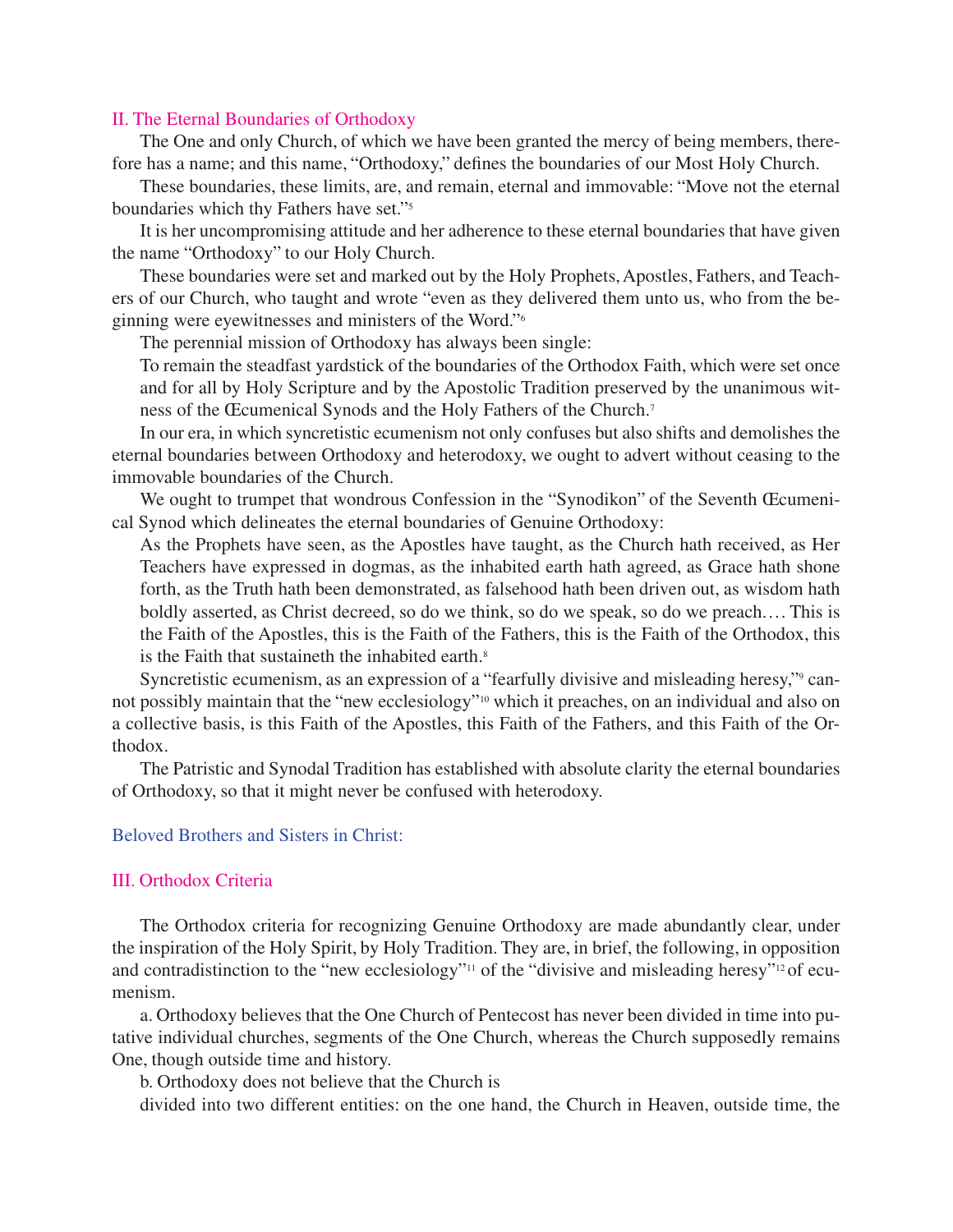### II. The Eternal Boundaries of Orthodoxy

The One and only Church, of which we have been granted the mercy of being members, therefore has a name; and this name, "Orthodoxy," defines the boundaries of our Most Holy Church.

These boundaries, these limits, are, and remain, eternal and immovable: "Move not the eternal boundaries which thy Fathers have set."5

It is her uncompromising attitude and her adherence to these eternal boundaries that have given the name "Orthodoxy" to our Holy Church.

These boundaries were set and marked out by the Holy Prophets, Apostles, Fathers, and Teachers of our Church, who taught and wrote "even as they delivered them unto us, who from the beginning were eyewitnesses and ministers of the Word."6

The perennial mission of Orthodoxy has always been single:

To remain the steadfast yardstick of the boundaries of the Orthodox Faith, which were set once and for all by Holy Scripture and by the Apostolic Tradition preserved by the unanimous witness of the Œcumenical Synods and the Holy Fathers of the Church. 7

In our era, in which syncretistic ecumenism not only confuses but also shifts and demolishes the eternal boundaries between Orthodoxy and heterodoxy, we ought to advert without ceasing to the immovable boundaries of the Church.

We ought to trumpet that wondrous Confession in the "Synodikon" of the Seventh Œcumenical Synod which delineates the eternal boundaries of Genuine Orthodoxy:

As the Prophets have seen, as the Apostles have taught, as the Church hath received, as Her Teachers have expressed in dogmas, as the inhabited earth hath agreed, as Grace hath shone forth, as the Truth hath been demonstrated, as falsehood hath been driven out, as wisdom hath boldly asserted, as Christ decreed, so do we think, so do we speak, so do we preach.... This is the Faith of the Apostles, this is the Faith of the Fathers, this is the Faith of the Orthodox, this is the Faith that sustaineth the inhabited earth. 8

Syncretistic ecumenism, as an expression of a "fearfully divisive and misleading heresy,"<sup>9</sup> cannot possibly maintain that the "new ecclesiology"10 which it preaches, on an individual and also on a collective basis, is this Faith of the Apostles, this Faith of the Fathers, and this Faith of the Orthodox.

The Patristic and Synodal Tradition has established with absolute clarity the eternal boundaries of Orthodoxy, so that it might never be confused with heterodoxy.

#### Beloved Brothers and Sisters in Christ:

### III. Orthodox Criteria

The Orthodox criteria for recognizing Genuine Orthodoxy are made abundantly clear, under the inspiration of the Holy Spirit, by Holy Tradition. They are, in brief, the following, in opposition and contradistinction to the "new ecclesiology"<sup>11</sup> of the "divisive and misleading heresy"<sup>12</sup> of ecumenism.

a. Orthodoxy believes that the One Church of Pentecost has never been divided in time into putative individual churches, segments of the One Church, whereas the Church supposedly remains One, though outside time and history.

b. Orthodoxy does not believe that the Church is

divided into two different entities: on the one hand, the Church in Heaven, outside time, the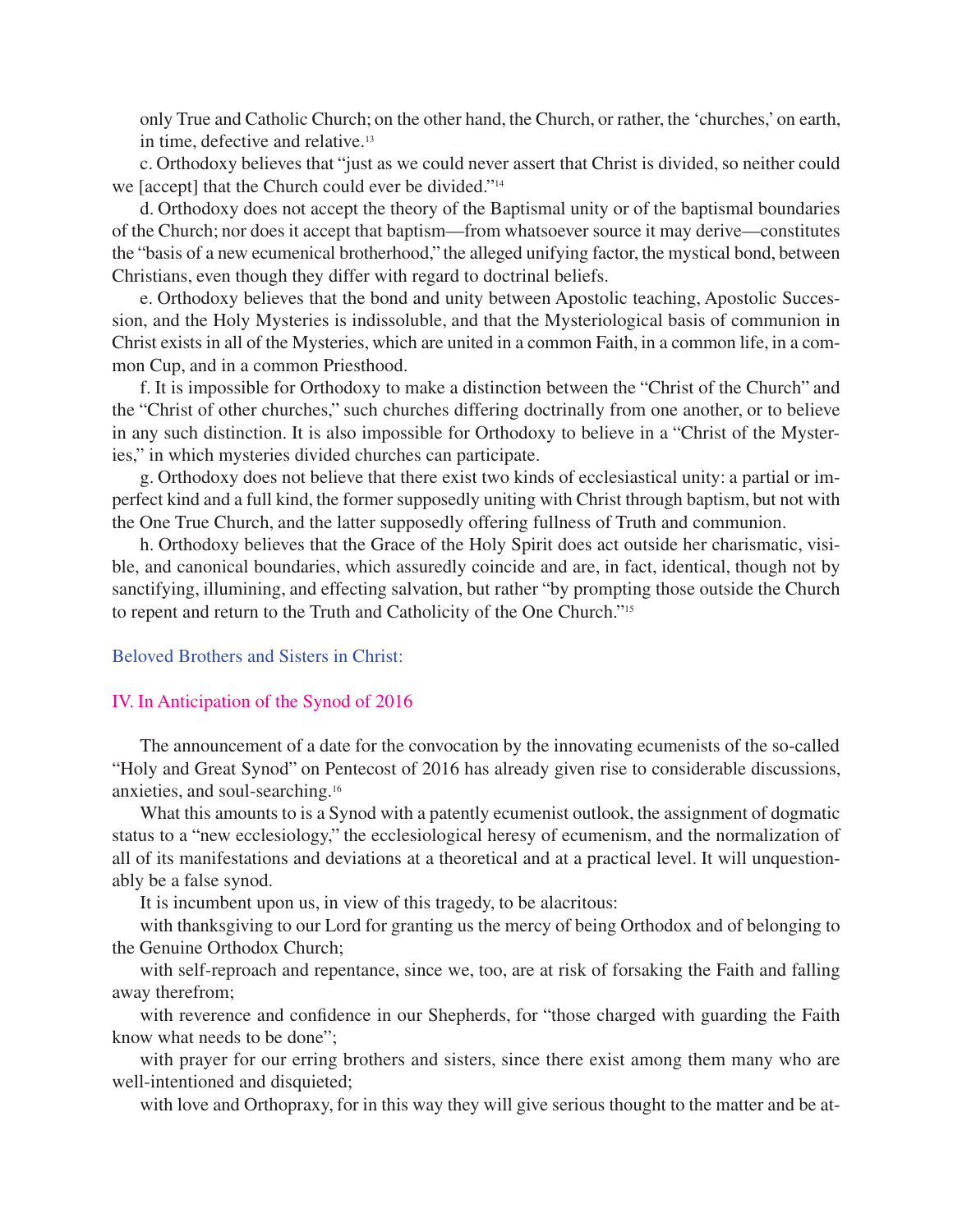only True and Catholic Church; on the other hand, the Church, or rather, the 'churches,' on earth, in time, defective and relative. 13

c. Orthodoxy believes that "just as we could never assert that Christ is divided, so neither could we [accept] that the Church could ever be divided."14

d. Orthodoxy does not accept the theory of the Baptismal unity or of the baptismal boundaries of the Church; nor does it accept that baptism—from whatsoever source it may derive—constitutes the "basis of a new ecumenical brotherhood," the alleged unifying factor, the mystical bond, between Christians, even though they differ with regard to doctrinal beliefs.

e. Orthodoxy believes that the bond and unity between Apostolic teaching, Apostolic Succession, and the Holy Mysteries is indissoluble, and that the Mysteriological basis of communion in Christ exists in all of the Mysteries, which are united in a common Faith, in a common life, in a common Cup, and in a common Priesthood.

f. It is impossible for Orthodoxy to make a distinction between the "Christ of the Church" and the "Christ of other churches," such churches differing doctrinally from one another, or to believe in any such distinction. It is also impossible for Orthodoxy to believe in a "Christ of the Mysteries," in which mysteries divided churches can participate.

g. Orthodoxy does not believe that there exist two kinds of ecclesiastical unity: a partial or imperfect kind and a full kind, the former supposedly uniting with Christ through baptism, but not with the One True Church, and the latter supposedly offering fullness of Truth and communion.

h. Orthodoxy believes that the Grace of the Holy Spirit does act outside her charismatic, visible, and canonical boundaries, which assuredly coincide and are, in fact, identical, though not by sanctifying, illumining, and effecting salvation, but rather "by prompting those outside the Church to repent and return to the Truth and Catholicity of the One Church."15

#### Beloved Brothers and Sisters in Christ:

#### IV. In Anticipation of the Synod of 2016

The announcement of a date for the convocation by the innovating ecumenists of the so-called "Holy and Great Synod" on Pentecost of 2016 has already given rise to considerable discussions, anxieties, and soul-searching. 16

What this amounts to is a Synod with a patently ecumenist outlook, the assignment of dogmatic status to a "new ecclesiology," the ecclesiological heresy of ecumenism, and the normalization of all of its manifestations and deviations at a theoretical and at a practical level. It will unquestionably be a false synod.

It is incumbent upon us, in view of this tragedy, to be alacritous:

with thanksgiving to our Lord for granting us the mercy of being Orthodox and of belonging to the Genuine Orthodox Church;

with self-reproach and repentance, since we, too, are at risk of forsaking the Faith and falling away therefrom;

with reverence and confidence in our Shepherds, for "those charged with guarding the Faith know what needs to be done";

with prayer for our erring brothers and sisters, since there exist among them many who are well-intentioned and disquieted;

with love and Orthopraxy, for in this way they will give serious thought to the matter and be at-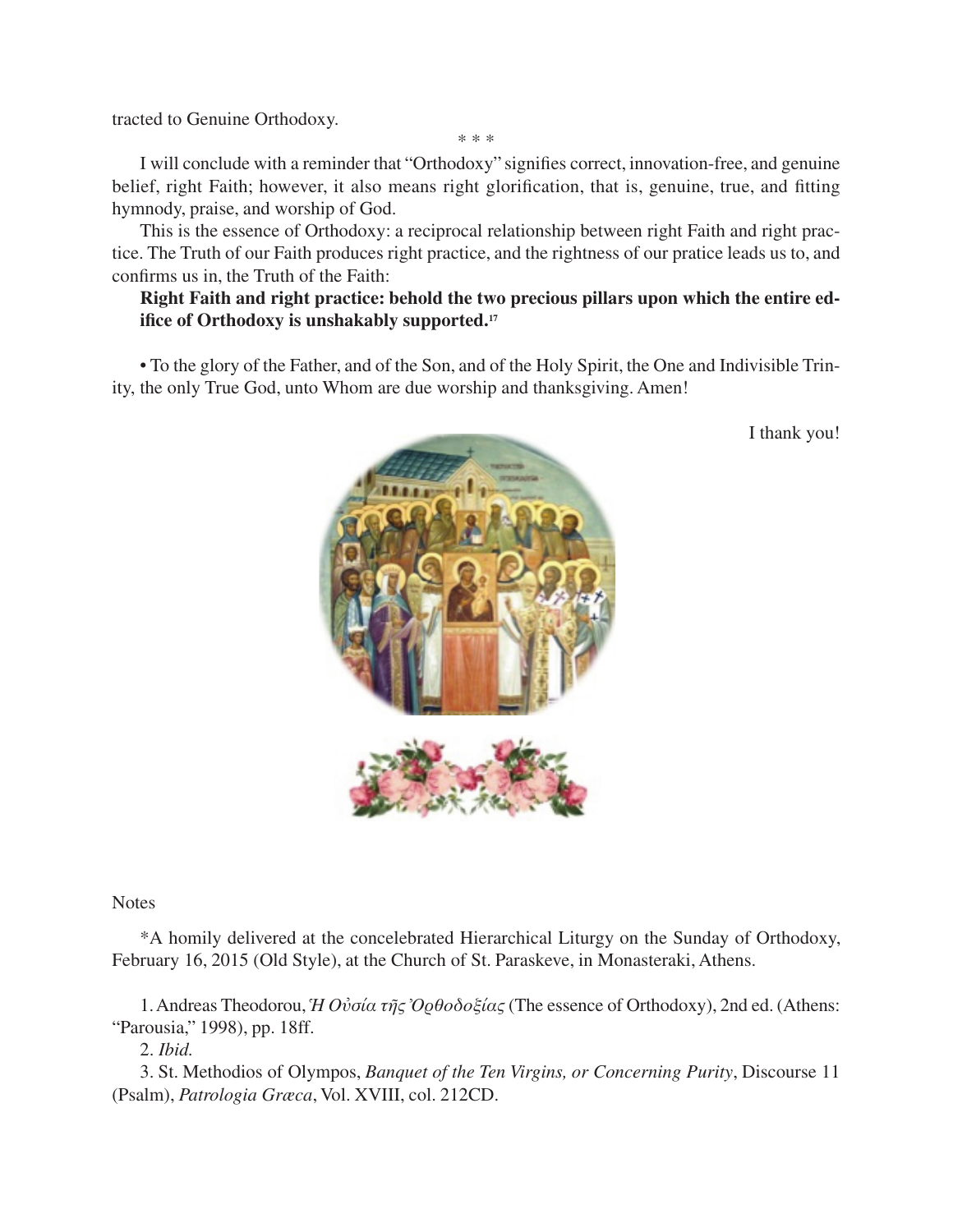tracted to Genuine Orthodoxy.

\* \* \*

I will conclude with a reminder that "Orthodoxy" signies correct, innovation-free, and genuine belief, right Faith; however, it also means right glorification, that is, genuine, true, and fitting hymnody, praise, and worship of God.

This is the essence of Orthodoxy: a reciprocal relationship between right Faith and right practice. The Truth of our Faith produces right practice, and the rightness of our pratice leads us to, and confirms us in, the Truth of the Faith:

# **Right Faith and right practice: behold the two precious pillars upon which the entire edifice of Orthodoxy is unshakably supported. 17**

• To the glory of the Father, and of the Son, and of the Holy Spirit, the One and Indivisible Trinity, the only True God, unto Whom are due worship and thanksgiving. Amen!



I thank you!

**Notes** 

\*A homily delivered at the concelebrated Hierarchical Liturgy on the Sunday of Orthodoxy, February 16, 2015 (Old Style), at the Church of St. Paraskeve, in Monasteraki, Athens.

1.Andreas Theodorou, *Ἡ Oὐσία τῆς Ὀρθοδοξίας* (The essence of Orthodoxy), 2nd ed. (Athens: "Parousia," 1998), pp. 18ff.

2. *Ibid.*

3. St. Methodios of Olympos, *Banquet of the Ten Virgins, or Concerning Purity*, Discourse 11 (Psalm), *Patrologia Græca*, Vol. XVIII, col. 212CD.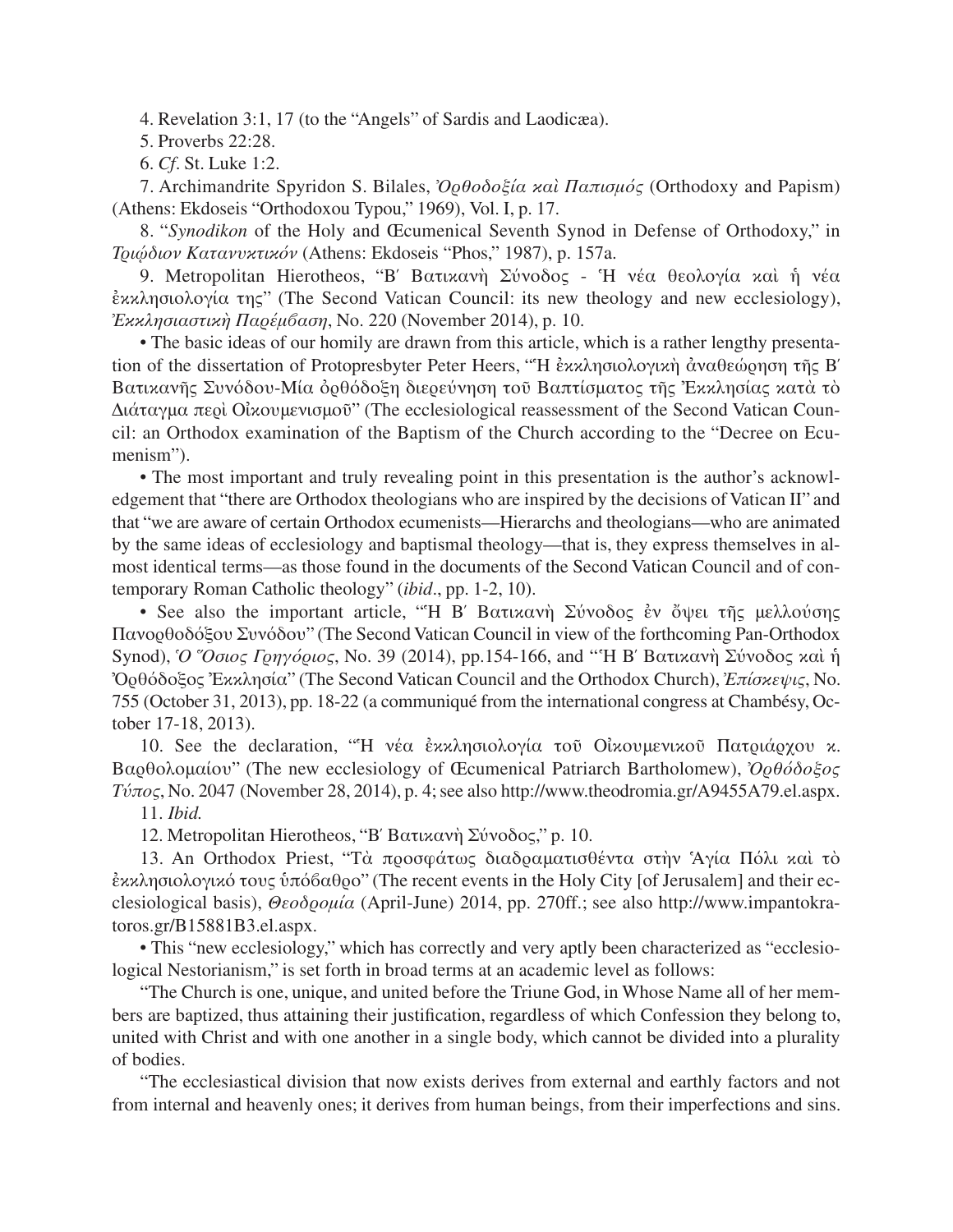4. Revelation 3:1, 17 (to the "Angels" of Sardis and Laodicæa).

5. Proverbs 22:28.

6. *Cf*. St. Luke 1:2.

7. Archimandrite Spyridon S. Bilales, *Ὀρθοδοξία καὶ Παπισμός* (Orthodoxy and Papism) (Athens: Ekdoseis "Orthodoxou Typou," 1969), Vol. I, p. 17.

8. "*Synodikon* of the Holy and Œcumenical Seventh Synod in Defense of Orthodoxy," in *Tριῴδιον Κατανυκτικόν* (Athens: Ekdoseis "Phos," 1987), p. 157a.

9. Metropolitan Hierotheos, "B΄ Bατικανὴ Σύνοδος - Ἡ νέα θεολογία καὶ ἡ νέα ἐκκλησιολογία της" (The Second Vatican Council: its new theology and new ecclesiology), *Ἐκκλησιαστικὴ Παρέμβαση*, No. 220 (November 2014), p. 10.

• The basic ideas of our homily are drawn from this article, which is a rather lengthy presentation of the dissertation of Protopresbyter Peter Heers, "Ἡ ἐκκλησιολογικὴ ἀναθεώρηση τῆς B΄ Bατικανῆς Συνόδου-Mία ὀρθόδοξη διερεύνηση τοῦ Bαπτίσματος τῆς Ἐκκλησίας κατὰ τὸ Διάταγμα περὶ Oἰκουμενισμοῦ" (The ecclesiological reassessment of the Second Vatican Council: an Orthodox examination of the Baptism of the Church according to the "Decree on Ecumenism").

• The most important and truly revealing point in this presentation is the author's acknowledgement that "there are Orthodox theologians who are inspired by the decisions of Vatican II" and that "we are aware of certain Orthodox ecumenists—Hierarchs and theologians—who are animated by the same ideas of ecclesiology and baptismal theology—that is, they express themselves in almost identical terms—as those found in the documents of the Second Vatican Council and of contemporary Roman Catholic theology" (*ibid*., pp. 1-2, 10).

• See also the important article, "Ἡ B΄ Bατικανὴ Σύνοδος ἐν ὄψει τῆς μελλούσης Πανορθοδόξου Συνόδου" (The Second Vatican Council in view of the forthcoming Pan-Orthodox Synod), *Ὁ Ὅσιος Γρηγόριος*, No. 39 (2014), pp.154-166, and "Ἡ B΄ Bατικανὴ Σύνοδος καὶ ἡ Ὀρθόδοξος Ἐκκλησία" (The Second Vatican Council and the Orthodox Church), *Ἐπίσκεψις*, No. 755 (October 31, 2013), pp. 18-22 (a communiqué from the international congress at Chambésy, October 17-18, 2013).

10. See the declaration, "Ἡ νέα ἐκκλησιολογία τοῦ Oἰκουμενικοῦ Πατριάρχου κ. Bαρθολομαίου" (The new ecclesiology of Œcumenical Patriarch Bartholomew), *Ὀρθόδοξος*  $T\acute{\nu}\pi\omicron\varsigma$ , No. 2047 (November 28, 2014), p. 4; see also http://www.theodromia.gr/A9455A79.el.aspx. 11. *Ibid.*

12. Metropolitan Hierotheos, "B΄ Bατικανὴ Σύνοδος," p. 10.

13. An Orthodox Priest, "Tὰ προσφάτως διαδραματισθέντα στὴν Ἁγία Πόλι καὶ τὸ ἐκκλησιολογικό τους ὑπόβαθρο" (The recent events in the Holy City [of Jerusalem] and their ecclesiological basis), *Θεοδρομία* (April-June) 2014, pp. 270ff.; see also http://www.impantokratoros.gr/B15881B3.el.aspx.

• This "new ecclesiology," which has correctly and very aptly been characterized as "ecclesiological Nestorianism," is set forth in broad terms at an academic level as follows:

"The Church is one, unique, and united before the Triune God, in Whose Name all of her members are baptized, thus attaining their justification, regardless of which Confession they belong to, united with Christ and with one another in a single body, which cannot be divided into a plurality of bodies.

"The ecclesiastical division that now exists derives from external and earthly factors and not from internal and heavenly ones; it derives from human beings, from their imperfections and sins.